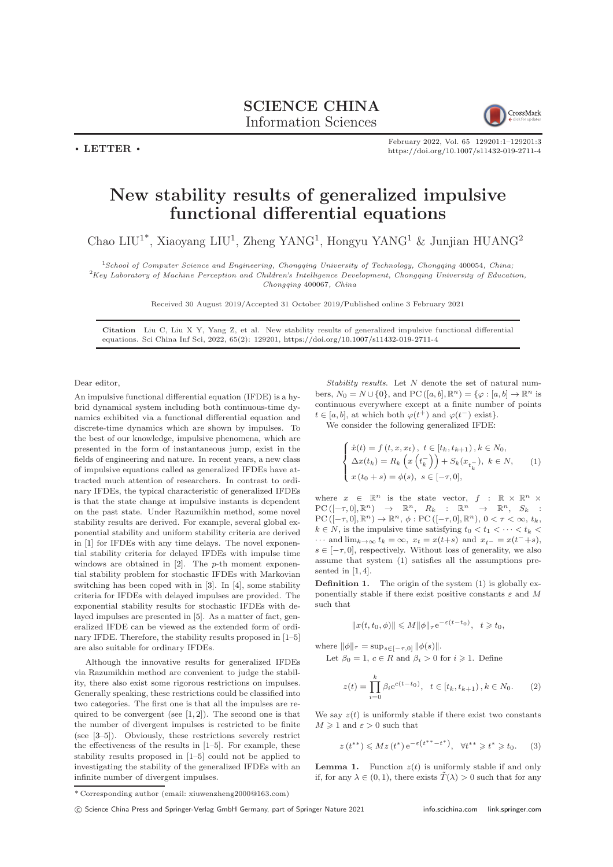CrossMark

February 2022, Vol. 65 129201:1–129201[:3](#page-2-0) <https://doi.org/10.1007/s11432-019-2711-4>

## New stability results of generalized impulsive functional differential equations

Chao LIU<sup>1\*</sup>, Xiaoyang LIU<sup>1</sup>, Zheng YANG<sup>1</sup>, Hongyu YANG<sup>1</sup> & Junjian HUANG<sup>2</sup>

<sup>1</sup>School of Computer Science and Engineering, Chongqing University of Technology, Chongqing 400054, China; <sup>2</sup>Key Laboratory of Machine Perception and Children's Intelligence Development, Chongqing University of Education, Chongqing 400067, China

Received 30 August 2019/Accepted 31 October 2019/Published online 3 February 2021

Citation Liu C, Liu X Y, Yang Z, et al. New stability results of generalized impulsive functional differential equations. Sci China Inf Sci, 2022, 65(2): 129201, <https://doi.org/10.1007/s11432-019-2711-4>

Dear editor,

 $\cdot$  LETTER  $\cdot$ 

An impulsive functional differential equation (IFDE) is a hybrid dynamical system including both continuous-time dynamics exhibited via a functional differential equation and discrete-time dynamics which are shown by impulses. To the best of our knowledge, impulsive phenomena, which are presented in the form of instantaneous jump, exist in the fields of engineering and nature. In recent years, a new class of impulsive equations called as generalized IFDEs have attracted much attention of researchers. In contrast to ordinary IFDEs, the typical characteristic of generalized IFDEs is that the state change at impulsive instants is dependent on the past state. Under Razumikhin method, some novel stability results are derived. For example, several global exponential stability and uniform stability criteria are derived in [\[1\]](#page-2-1) for IFDEs with any time delays. The novel exponential stability criteria for delayed IFDEs with impulse time windows are obtained in  $[2]$ . The *p*-th moment exponential stability problem for stochastic IFDEs with Markovian switching has been coped with in [\[3\]](#page-2-3). In [\[4\]](#page-2-4), some stability criteria for IFDEs with delayed impulses are provided. The exponential stability results for stochastic IFDEs with delayed impulses are presented in [\[5\]](#page-2-5). As a matter of fact, generalized IFDE can be viewed as the extended form of ordinary IFDE. Therefore, the stability results proposed in [\[1](#page-2-1)[–5\]](#page-2-5) are also suitable for ordinary IFDEs.

Although the innovative results for generalized IFDEs via Razumikhin method are convenient to judge the stability, there also exist some rigorous restrictions on impulses. Generally speaking, these restrictions could be classified into two categories. The first one is that all the impulses are required to be convergent (see  $[1,2]$  $[1,2]$ ). The second one is that the number of divergent impulses is restricted to be finite (see [\[3–](#page-2-3)[5\]](#page-2-5)). Obviously, these restrictions severely restrict the effectiveness of the results in [\[1–](#page-2-1)[5\]](#page-2-5). For example, these stability results proposed in [\[1–](#page-2-1)[5\]](#page-2-5) could not be applied to investigating the stability of the generalized IFDEs with an infinite number of divergent impulses.

Stability results. Let  $N$  denote the set of natural numbers,  $N_0 = N \cup \{0\}$ , and PC  $([a, b], \mathbb{R}^n) = \{\varphi : [a, b] \to \mathbb{R}^n$  is continuous everywhere except at a finite number of points  $t \in [a, b]$ , at which both  $\varphi(t^+)$  and  $\varphi(t^-)$  exist}.

We consider the following generalized IFDE:

<span id="page-0-0"></span>
$$
\begin{cases}\n\dot{x}(t) = f(t, x, x_t), \ t \in [t_k, t_{k+1}), k \in N_0, \\
\Delta x(t_k) = R_k \left( x \left( t_k^- \right) \right) + S_k(x_{t_k^-}), \ k \in N, \\
x(t_0 + s) = \phi(s), \ s \in [-\tau, 0],\n\end{cases}
$$
\n(1)

where  $x \in \mathbb{R}^n$  is the state vector,  $f : \mathbb{R} \times \mathbb{R}^n \times$  $PC ([-\tau, 0], \mathbb{R}^n) \rightarrow \mathbb{R}^n$ ,  $R_k : \mathbb{R}^n \rightarrow \mathbb{R}^n$ ,  $S_k$  $PC([-\tau,0],\mathbb{R}^n) \to \mathbb{R}^n, \phi : PC([-\tau,0],\mathbb{R}^n), 0 < \tau < \infty, t_k,$  $k \in N$ , is the impulsive time satisfying  $t_0 < t_1 < \cdots < t_k <$  $\cdots$  and lim $_{k\to\infty}$   $t_k = \infty$ ,  $x_t = x(t+s)$  and  $x_{t-} = x(t^{-}+s)$ ,  $s \in [-\tau, 0]$ , respectively. Without loss of generality, we also assume that system [\(1\)](#page-0-0) satisfies all the assumptions pre-sented in [\[1,](#page-2-1) [4\]](#page-2-4).

**Definition 1.** The origin of the system  $(1)$  is globally exponentially stable if there exist positive constants  $\varepsilon$  and M such that

$$
||x(t, t_0, \phi)|| \leq M ||\phi||_{\tau} e^{-\varepsilon (t - t_0)}, \quad t \geq t_0,
$$

where  $\|\phi\|_{\tau} = \sup_{s \in [-\tau,0]} \|\phi(s)\|.$ 

Let  $\beta_0 = 1, c \in R$  and  $\beta_i > 0$  for  $i \geq 1$ . Define

<span id="page-0-1"></span>
$$
z(t) = \prod_{i=0}^{k} \beta_i e^{c(t-t_0)}, \quad t \in [t_k, t_{k+1}), k \in N_0.
$$
 (2)

We say  $z(t)$  is uniformly stable if there exist two constants  $M \geq 1$  and  $\varepsilon > 0$  such that

$$
z(t^{**}) \le Mz(t^*) e^{-\varepsilon (t^{**}-t^*)}, \quad \forall t^{**} \ge t^* \ge t_0. \tag{3}
$$

**Lemma 1.** Function  $z(t)$  is uniformly stable if and only if, for any  $\lambda \in (0, 1)$ , there exists  $\tilde{T}(\lambda) > 0$  such that for any

<sup>\*</sup> Corresponding author (email: xiuwenzheng2000@163.com)

c Science China Press and Springer-Verlag GmbH Germany, part of Springer Nature 2021 <info.scichina.com><link.springer.com>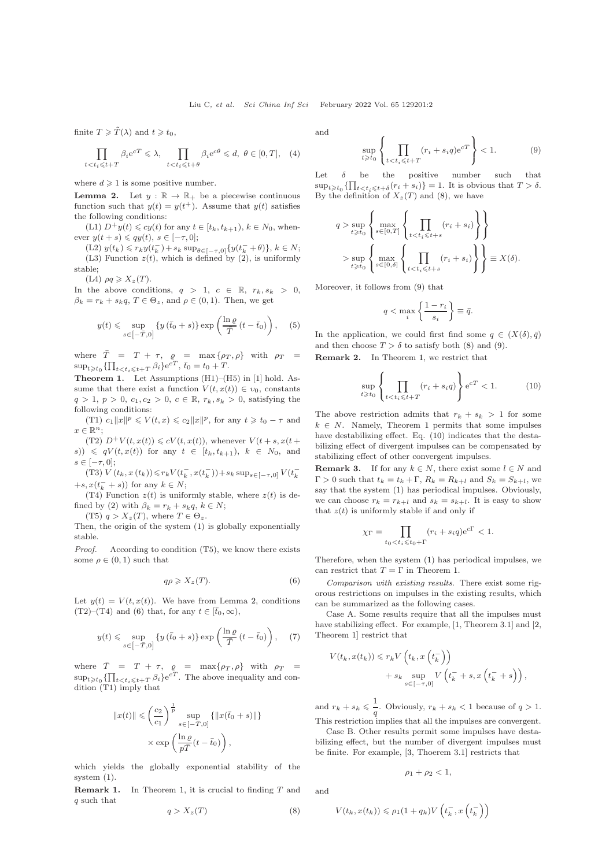finite  $T \geq \tilde{T}(\lambda)$  and  $t \geq t_0$ ,

$$
\prod_{t < t_i \leqslant t + T} \beta_i e^{cT} \leqslant \lambda, \prod_{t < t_i \leqslant t + \theta} \beta_i e^{c\theta} \leqslant d, \ \theta \in [0, T], \tag{4}
$$

where  $d \geq 1$  is some positive number.

<span id="page-1-0"></span>**Lemma 2.** Let  $y : \mathbb{R} \to \mathbb{R}_+$  be a piecewise continuous function such that  $y(t) = y(t^+)$ . Assume that  $y(t)$  satisfies the following conditions:

(L1)  $D^+y(t) \leq c y(t)$  for any  $t \in [t_k, t_{k+1}), k \in N_0$ , whenever  $y(t + s) \leq qy(t)$ ,  $s \in [-\tau, 0]$ ;

 $(L2)$   $y(t_k) \leq r_k y(t_k^-) + s_k \sup_{\theta \in [-\tau,0]} \{y(t_k^- + \theta)\}, k \in N;$ (L3) Function  $z(t)$ , which is defined by [\(2\)](#page-0-1), is uniformly stable;

(L4)  $\rho q \geqslant X_z(T)$ .

In the above conditions,  $q > 1$ ,  $c \in \mathbb{R}$ ,  $r_k, s_k > 0$ ,  $\beta_k = r_k + s_k q$ ,  $T \in \Theta_z$ , and  $\rho \in (0, 1)$ . Then, we get

$$
y(t) \leqslant \sup_{s \in [-\bar{T}, 0]} \left\{ y(\bar{t}_0 + s) \right\} \exp\left( \frac{\ln \varrho}{\bar{T}} (t - \bar{t}_0) \right), \quad (5)
$$

where  $\overline{T} = T + \tau$ ,  $\rho = \max\{\rho_T, \rho\}$  with  $\rho_T =$  $\sup_{t \geq t_0} {\{\prod_{t < t_i \leqslant t+T} \beta_i\} e^{cT}}, \bar{t}_0 = t_0 + T.$ 

<span id="page-1-2"></span>Theorem 1. Let Assumptions (H1)–(H5) in [1] hold. Assume that there exist a function  $V(t, x(t)) \in v_0$ , constants  $q > 1, p > 0, c_1, c_2 > 0, c \in \mathbb{R}, r_k, s_k > 0$ , satisfying the following conditions:

(T1)  $c_1 ||x||^p \le V(t, x) \le c_2 ||x||^p$ , for any  $t \ge t_0 - \tau$  and  $x \in \mathbb{R}^n$ ;

(T2)  $D^+V(t, x(t)) \leq cV(t, x(t))$ , whenever  $V(t + s, x(t +$  $(s)$ )  $\leqslant qV(t, x(t))$  for any  $t \in [t_k, t_{k+1}), k \in N_0$ , and  $s \in [-\tau, 0];$ 

(T3)  $V\left(t_{k},x\left(t_{k}\right)\right) \leqslant r_{k} V(t_{k}^{-},x(t_{k}^{-}))+s_{k} \sup_{s \in[-\tau,0]} V(t_{k}^{-}$  $+s, x(t_k^- + s)$  for any  $k \in N$ ;

(T4) Function  $z(t)$  is uniformly stable, where  $z(t)$  is de-fined by [\(2\)](#page-0-1) with  $\beta_k = r_k + s_k q, k \in N;$ 

(T5)  $q > X_z(T)$ , where  $T \in \Theta_z$ .

Then, the origin of the system [\(1\)](#page-0-0) is globally exponentially stable.

Proof. According to condition (T5), we know there exists some  $\rho \in (0,1)$  such that

<span id="page-1-1"></span>
$$
q\rho \geqslant X_z(T). \tag{6}
$$

Let  $y(t) = V(t, x(t))$ . We have from Lemma [2,](#page-1-0) conditions (T2)–(T4) and [\(6\)](#page-1-1) that, for any  $t \in [\bar{t}_0,\infty)$ ,

$$
y(t) \leqslant \sup_{s \in [-\bar{T}, 0]} \left\{ y(\bar{t}_0 + s) \right\} \exp\left(\frac{\ln \varrho}{\bar{T}} (t - \bar{t}_0)\right), \quad (7)
$$

where  $\overline{T}$  = T +  $\tau$ ,  $\rho$  = max $\{\rho_T, \rho\}$  with  $\rho_T$  =  $\sup_{t\geq t_0} {\{\prod_{t. The above inequality and con$ dition (T1) imply that

$$
||x(t)|| \leqslant \left(\frac{c_2}{c_1}\right)^{\frac{1}{p}} \sup_{s \in [-\bar{T}, 0]} \{||x(\bar{t}_0 + s)||\}
$$

$$
\times \exp\left(\frac{\ln \varrho}{p\bar{T}}(t - \bar{t}_0)\right),
$$

which yields the globally exponential stability of the system [\(1\)](#page-0-0).

**Remark 1.** In Theorem [1,](#page-1-2) it is crucial to finding  $T$  and q such that

<span id="page-1-3"></span>
$$
q > X_z(T) \tag{8}
$$

and

<span id="page-1-4"></span>
$$
\sup_{t \ge t_0} \left\{ \prod_{t < t_i \le t + T} (r_i + s_i q) e^{cT} \right\} < 1. \tag{9}
$$

Let  $\delta$  be the positive number such that  $\sup_{t\geqslant t_0}\{\prod_{t It is obvious that  $T>\delta$ .$ By the definition of  $X_z(T)$  and [\(8\)](#page-1-3), we have

$$
q > \sup_{t \ge t_0} \left\{ \max_{s \in [0,T]} \left\{ \prod_{t < t_i \le t+s} (r_i + s_i) \right\} \right\}
$$

$$
> \sup_{t \ge t_0} \left\{ \max_{s \in [0,\delta]} \left\{ \prod_{t < t_i \le t+s} (r_i + s_i) \right\} \right\} \equiv X(\delta).
$$

Moreover, it follows from [\(9\)](#page-1-4) that

$$
q < \max_{i} \left\{ \frac{1 - r_i}{s_i} \right\} \equiv \bar{q}.
$$

In the application, we could first find some  $q \in (X(\delta), \bar{q})$ and then choose  $T > \delta$  to satisfy both [\(8\)](#page-1-3) and [\(9\)](#page-1-4). Remark 2. In Theorem [1,](#page-1-2) we restrict that

<span id="page-1-5"></span>
$$
\sup_{t \ge t_0} \left\{ \prod_{t < t_i \le t + T} (r_i + s_i q) \right\} e^{cT} < 1. \tag{10}
$$

The above restriction admits that  $r_k + s_k > 1$  for some  $k \in N$ . Namely, Theorem [1](#page-1-2) permits that some impulses have destabilizing effect. Eq. [\(10\)](#page-1-5) indicates that the destabilizing effect of divergent impulses can be compensated by stabilizing effect of other convergent impulses.

**Remark 3.** If for any  $k \in N$ , there exist some  $l \in N$  and  $\Gamma > 0$  such that  $t_k = t_k + \Gamma$ ,  $R_k = R_{k+l}$  and  $S_k = S_{k+l}$ , we say that the system [\(1\)](#page-0-0) has periodical impulses. Obviously, we can choose  $r_k = r_{k+l}$  and  $s_k = s_{k+l}$ . It is easy to show that  $z(t)$  is uniformly stable if and only if

$$
\chi_{\Gamma} = \prod_{t_0 < t_i \leqslant t_0 + \Gamma} (r_i + s_i q) e^{c\Gamma} < 1.
$$

Therefore, when the system [\(1\)](#page-0-0) has periodical impulses, we can restrict that  $T = \Gamma$  in Theorem [1.](#page-1-2)

Comparison with existing results. There exist some rigorous restrictions on impulses in the existing results, which can be summarized as the following cases.

Case A. Some results require that all the impulses must have stabilizing effect. For example, [\[1,](#page-2-1) Theorem 3.1] and [\[2,](#page-2-2) Theorem 1] restrict that

$$
V(t_k, x(t_k)) \le r_k V\left(t_k, x\left(t_k^-\right)\right)
$$
  
+  $s_k \sup_{s \in [-\tau, 0]} V\left(t_k^- + s, x\left(t_k^- + s\right)\right)$ ,

and  $r_k + s_k \leqslant \frac{1}{s}$  $\frac{1}{q}$ . Obviously,  $r_k + s_k < 1$  because of  $q > 1$ . This restriction implies that all the impulses are convergent.

Case B. Other results permit some impulses have destabilizing effect, but the number of divergent impulses must be finite. For example, [\[3,](#page-2-3) Thoerem 3.1] restricts that

$$
\rho_1+\rho_2<1,
$$

and

$$
V(t_k, x(t_k)) \le \rho_1(1+q_k)V\left(t_k^-, x\left(t_k^-\right)\right)
$$